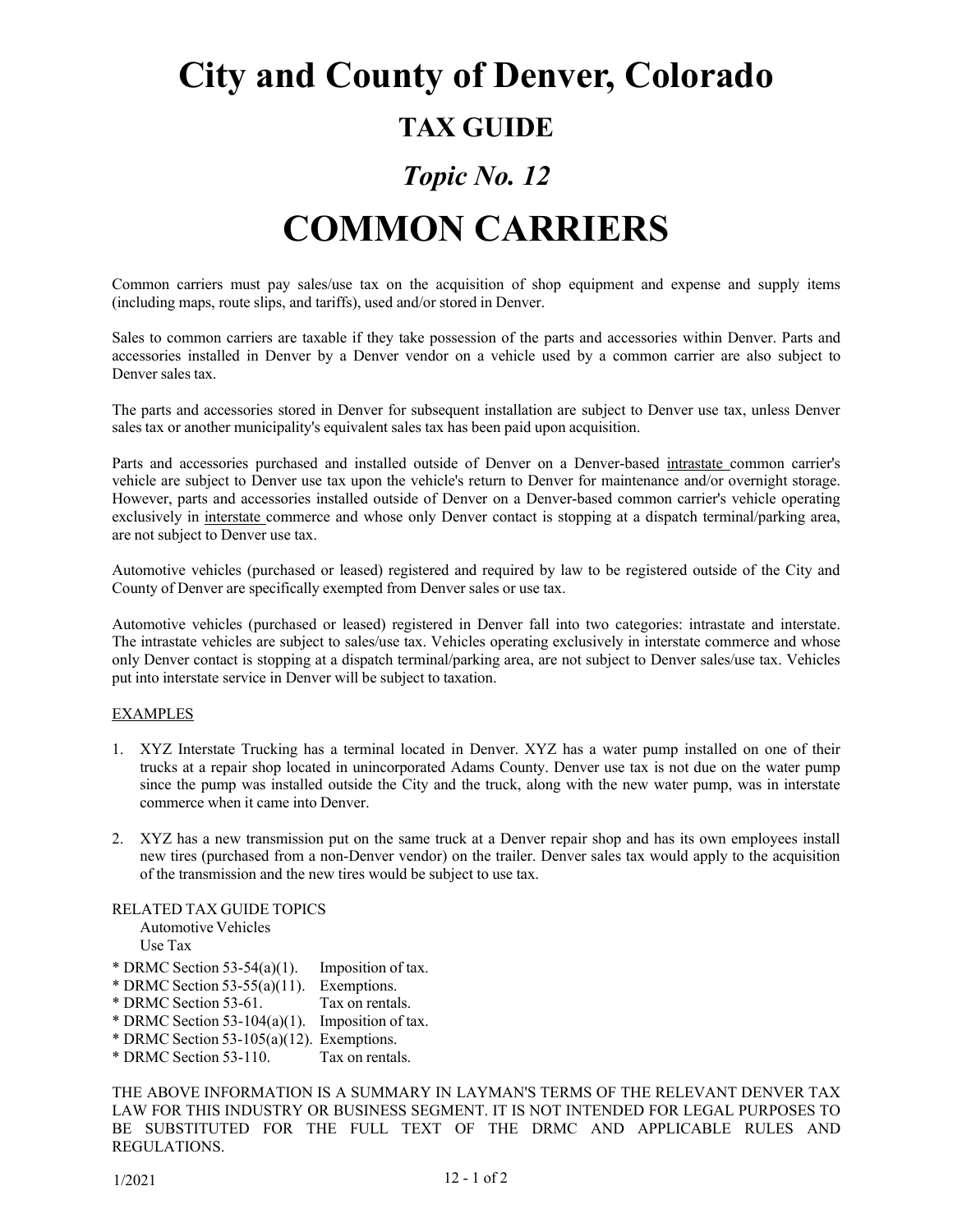# **City and County of Denver, Colorado**

### **TAX GUIDE**

## *Topic No. 12*

## **COMMON CARRIERS**

Common carriers must pay sales/use tax on the acquisition of shop equipment and expense and supply items (including maps, route slips, and tariffs), used and/or stored in Denver.

Sales to common carriers are taxable if they take possession of the parts and accessories within Denver. Parts and accessories installed in Denver by a Denver vendor on a vehicle used by a common carrier are also subject to Denver sales tax.

The parts and accessories stored in Denver for subsequent installation are subject to Denver use tax, unless Denver sales tax or another municipality's equivalent sales tax has been paid upon acquisition.

Parts and accessories purchased and installed outside of Denver on a Denver-based intrastate common carrier's vehicle are subject to Denver use tax upon the vehicle's return to Denver for maintenance and/or overnight storage. However, parts and accessories installed outside of Denver on a Denver-based common carrier's vehicle operating exclusively in interstate commerce and whose only Denver contact is stopping at a dispatch terminal/parking area, are not subject to Denver use tax.

Automotive vehicles (purchased or leased) registered and required by law to be registered outside of the City and County of Denver are specifically exempted from Denver sales or use tax.

Automotive vehicles (purchased or leased) registered in Denver fall into two categories: intrastate and interstate. The intrastate vehicles are subject to sales/use tax. Vehicles operating exclusively in interstate commerce and whose only Denver contact is stopping at a dispatch terminal/parking area, are not subject to Denver sales/use tax. Vehicles put into interstate service in Denver will be subject to taxation.

### EXAMPLES

- 1. XYZ Interstate Trucking has a terminal located in Denver. XYZ has a water pump installed on one of their trucks at a repair shop located in unincorporated Adams County. Denver use tax is not due on the water pump since the pump was installed outside the City and the truck, along with the new water pump, was in interstate commerce when it came into Denver.
- 2. XYZ has a new transmission put on the same truck at a Denver repair shop and has its own employees install new tires (purchased from a non-Denver vendor) on the trailer. Denver sales tax would apply to the acquisition of the transmission and the new tires would be subject to use tax.

### RELATED TAX GUIDE TOPICS

Automotive Vehicles Use Tax

- \* DRMC Section 53-54(a)(1). Imposition of tax.
- \* DRMC Section 53-55(a)(11). Exemptions.
- \* DRMC Section 53-61. Tax on rentals.
- \* DRMC Section 53-104(a)(1). Imposition of tax.
- \* DRMC Section 53-105(a)(12). Exemptions.<br>\* DRMC Section 53-110 Tax on rentals
- $*$  DRMC Section 53-110.

THE ABOVE INFORMATION IS A SUMMARY IN LAYMAN'S TERMS OF THE RELEVANT DENVER TAX LAW FOR THIS INDUSTRY OR BUSINESS SEGMENT. IT IS NOT INTENDED FOR LEGAL PURPOSES TO BE SUBSTITUTED FOR THE FULL TEXT OF THE DRMC AND APPLICABLE RULES AND REGULATIONS.